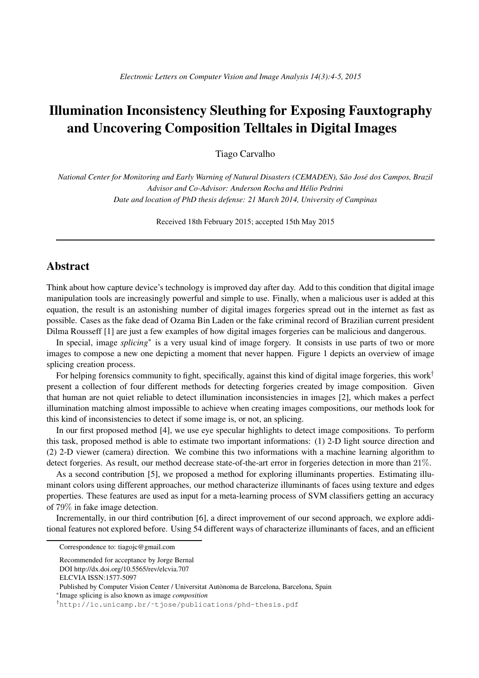## Illumination Inconsistency Sleuthing for Exposing Fauxtography and Uncovering Composition Telltales in Digital Images

Tiago Carvalho

*National Center for Monitoring and Early Warning of Natural Disasters (CEMADEN), São José dos Campos, Brazil Advisor and Co-Advisor: Anderson Rocha and Helio Pedrini ´ Date and location of PhD thesis defense: 21 March 2014, University of Campinas*

Received 18th February 2015; accepted 15th May 2015

## Abstract

Think about how capture device's technology is improved day after day. Add to this condition that digital image manipulation tools are increasingly powerful and simple to use. Finally, when a malicious user is added at this equation, the result is an astonishing number of digital images forgeries spread out in the internet as fast as possible. Cases as the fake dead of Ozama Bin Laden or the fake criminal record of Brazilian current president Dilma Rousseff [1] are just a few examples of how digital images forgeries can be malicious and dangerous.

In special, image *splicing*<sup>∗</sup> is a very usual kind of image forgery. It consists in use parts of two or more images to compose a new one depicting a moment that never happen. Figure 1 depicts an overview of image splicing creation process.

For helping forensics community to fight, specifically, against this kind of digital image forgeries, this work<sup>†</sup> present a collection of four different methods for detecting forgeries created by image composition. Given that human are not quiet reliable to detect illumination inconsistencies in images [2], which makes a perfect illumination matching almost impossible to achieve when creating images compositions, our methods look for this kind of inconsistencies to detect if some image is, or not, an splicing.

In our first proposed method [4], we use eye specular highlights to detect image compositions. To perform this task, proposed method is able to estimate two important informations: (1) 2-D light source direction and (2) 2-D viewer (camera) direction. We combine this two informations with a machine learning algorithm to detect forgeries. As result, our method decrease state-of-the-art error in forgeries detection in more than 21%.

As a second contribution [5], we proposed a method for exploring illuminants properties. Estimating illuminant colors using different approaches, our method characterize illuminants of faces using texture and edges properties. These features are used as input for a meta-learning process of SVM classifiers getting an accuracy of 79% in fake image detection.

Incrementally, in our third contribution [6], a direct improvement of our second approach, we explore additional features not explored before. Using 54 different ways of characterize illuminants of faces, and an efficient

∗ Image splicing is also known as image *composition*

Correspondence to: tiagojc@gmail.com

Recommended for acceptance by Jorge Bernal

DOI http://dx.doi.org/10.5565/rev/elcvia.707

ELCVIA ISSN:1577-5097

Published by Computer Vision Center / Universitat Autònoma de Barcelona, Barcelona, Spain

<sup>†</sup>http://ic.unicamp.br/˜tjose/publications/phd-thesis.pdf